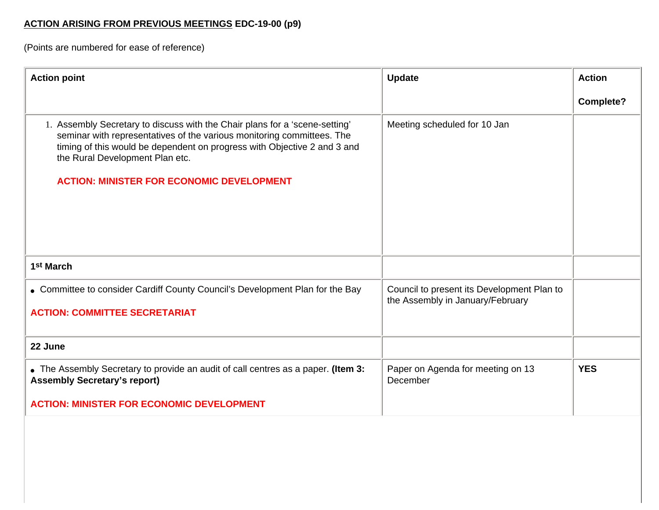## **ACTION ARISING FROM PREVIOUS MEETINGS EDC-19-00 (p9)**

(Points are numbered for ease of reference)

| <b>Action point</b>                                                                                                                                                                                                                                                                                                      | <b>Update</b>                                                                  | <b>Action</b>    |
|--------------------------------------------------------------------------------------------------------------------------------------------------------------------------------------------------------------------------------------------------------------------------------------------------------------------------|--------------------------------------------------------------------------------|------------------|
|                                                                                                                                                                                                                                                                                                                          |                                                                                | <b>Complete?</b> |
| 1. Assembly Secretary to discuss with the Chair plans for a 'scene-setting'<br>seminar with representatives of the various monitoring committees. The<br>timing of this would be dependent on progress with Objective 2 and 3 and<br>the Rural Development Plan etc.<br><b>ACTION: MINISTER FOR ECONOMIC DEVELOPMENT</b> | Meeting scheduled for 10 Jan                                                   |                  |
| 1 <sup>st</sup> March                                                                                                                                                                                                                                                                                                    |                                                                                |                  |
| • Committee to consider Cardiff County Council's Development Plan for the Bay<br><b>ACTION: COMMITTEE SECRETARIAT</b>                                                                                                                                                                                                    | Council to present its Development Plan to<br>the Assembly in January/February |                  |
| 22 June                                                                                                                                                                                                                                                                                                                  |                                                                                |                  |
| • The Assembly Secretary to provide an audit of call centres as a paper. (Item 3:<br><b>Assembly Secretary's report)</b>                                                                                                                                                                                                 | Paper on Agenda for meeting on 13<br>December                                  | <b>YES</b>       |
| <b>ACTION: MINISTER FOR ECONOMIC DEVELOPMENT</b>                                                                                                                                                                                                                                                                         |                                                                                |                  |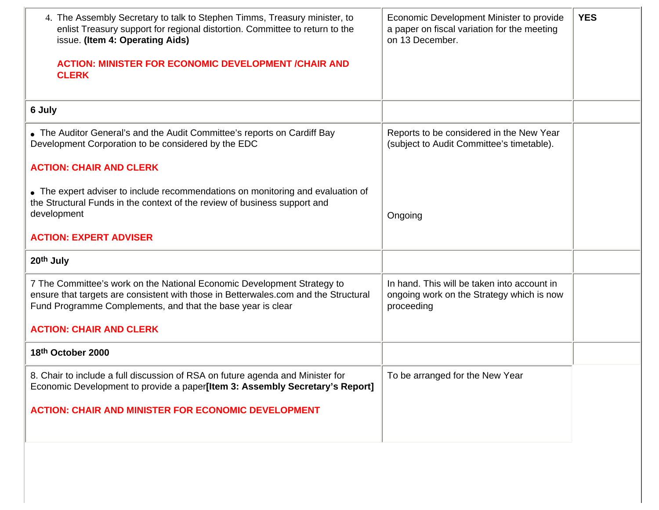| 4. The Assembly Secretary to talk to Stephen Timms, Treasury minister, to<br>enlist Treasury support for regional distortion. Committee to return to the<br>issue. (Item 4: Operating Aids)<br><b>ACTION: MINISTER FOR ECONOMIC DEVELOPMENT /CHAIR AND</b><br><b>CLERK</b> | Economic Development Minister to provide<br>a paper on fiscal variation for the meeting<br>on 13 December. | <b>YES</b> |
|----------------------------------------------------------------------------------------------------------------------------------------------------------------------------------------------------------------------------------------------------------------------------|------------------------------------------------------------------------------------------------------------|------------|
| 6 July                                                                                                                                                                                                                                                                     |                                                                                                            |            |
| • The Auditor General's and the Audit Committee's reports on Cardiff Bay<br>Development Corporation to be considered by the EDC                                                                                                                                            | Reports to be considered in the New Year<br>(subject to Audit Committee's timetable).                      |            |
| <b>ACTION: CHAIR AND CLERK</b>                                                                                                                                                                                                                                             |                                                                                                            |            |
| • The expert adviser to include recommendations on monitoring and evaluation of<br>the Structural Funds in the context of the review of business support and<br>development                                                                                                | Ongoing                                                                                                    |            |
| <b>ACTION: EXPERT ADVISER</b>                                                                                                                                                                                                                                              |                                                                                                            |            |
| 20th July                                                                                                                                                                                                                                                                  |                                                                                                            |            |
| 7 The Committee's work on the National Economic Development Strategy to<br>ensure that targets are consistent with those in Betterwales.com and the Structural<br>Fund Programme Complements, and that the base year is clear                                              | In hand. This will be taken into account in<br>ongoing work on the Strategy which is now<br>proceeding     |            |
| <b>ACTION: CHAIR AND CLERK</b>                                                                                                                                                                                                                                             |                                                                                                            |            |
| 18th October 2000                                                                                                                                                                                                                                                          |                                                                                                            |            |
| 8. Chair to include a full discussion of RSA on future agenda and Minister for<br>Economic Development to provide a paper[Item 3: Assembly Secretary's Report]                                                                                                             | To be arranged for the New Year                                                                            |            |
| <b>ACTION: CHAIR AND MINISTER FOR ECONOMIC DEVELOPMENT</b>                                                                                                                                                                                                                 |                                                                                                            |            |
|                                                                                                                                                                                                                                                                            |                                                                                                            |            |
|                                                                                                                                                                                                                                                                            |                                                                                                            |            |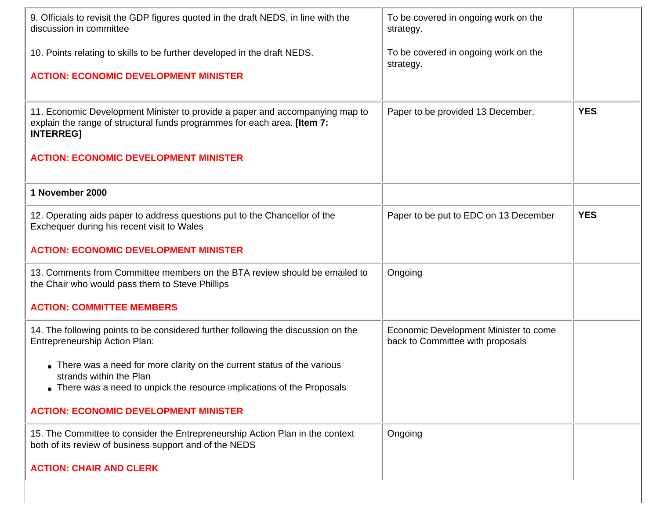| 9. Officials to revisit the GDP figures quoted in the draft NEDS, in line with the<br>discussion in committee                                                                  | To be covered in ongoing work on the<br>strategy.                         |            |
|--------------------------------------------------------------------------------------------------------------------------------------------------------------------------------|---------------------------------------------------------------------------|------------|
| 10. Points relating to skills to be further developed in the draft NEDS.                                                                                                       | To be covered in ongoing work on the<br>strategy.                         |            |
| <b>ACTION: ECONOMIC DEVELOPMENT MINISTER</b>                                                                                                                                   |                                                                           |            |
| 11. Economic Development Minister to provide a paper and accompanying map to<br>explain the range of structural funds programmes for each area. [Item 7:<br><b>INTERREG]</b>   | Paper to be provided 13 December.                                         | <b>YES</b> |
| <b>ACTION: ECONOMIC DEVELOPMENT MINISTER</b>                                                                                                                                   |                                                                           |            |
| 1 November 2000                                                                                                                                                                |                                                                           |            |
| 12. Operating aids paper to address questions put to the Chancellor of the<br>Exchequer during his recent visit to Wales                                                       | Paper to be put to EDC on 13 December                                     | <b>YES</b> |
| <b>ACTION: ECONOMIC DEVELOPMENT MINISTER</b>                                                                                                                                   |                                                                           |            |
| 13. Comments from Committee members on the BTA review should be emailed to<br>the Chair who would pass them to Steve Phillips                                                  | Ongoing                                                                   |            |
| <b>ACTION: COMMITTEE MEMBERS</b>                                                                                                                                               |                                                                           |            |
| 14. The following points to be considered further following the discussion on the<br><b>Entrepreneurship Action Plan:</b>                                                      | Economic Development Minister to come<br>back to Committee with proposals |            |
| • There was a need for more clarity on the current status of the various<br>strands within the Plan<br>• There was a need to unpick the resource implications of the Proposals |                                                                           |            |
| <b>ACTION: ECONOMIC DEVELOPMENT MINISTER</b>                                                                                                                                   |                                                                           |            |
| 15. The Committee to consider the Entrepreneurship Action Plan in the context<br>both of its review of business support and of the NEDS                                        | Ongoing                                                                   |            |
| <b>ACTION: CHAIR AND CLERK</b>                                                                                                                                                 |                                                                           |            |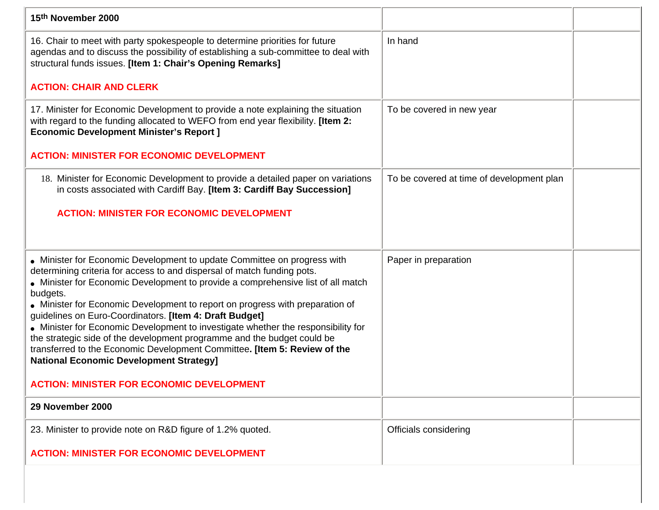| 15th November 2000                                                                                                                                                                                                                                                                                                                                                                                                                                                                                                                                                                                                                                                                             |                                           |  |
|------------------------------------------------------------------------------------------------------------------------------------------------------------------------------------------------------------------------------------------------------------------------------------------------------------------------------------------------------------------------------------------------------------------------------------------------------------------------------------------------------------------------------------------------------------------------------------------------------------------------------------------------------------------------------------------------|-------------------------------------------|--|
| 16. Chair to meet with party spokespeople to determine priorities for future<br>agendas and to discuss the possibility of establishing a sub-committee to deal with<br>structural funds issues. [Item 1: Chair's Opening Remarks]                                                                                                                                                                                                                                                                                                                                                                                                                                                              | In hand                                   |  |
| <b>ACTION: CHAIR AND CLERK</b>                                                                                                                                                                                                                                                                                                                                                                                                                                                                                                                                                                                                                                                                 |                                           |  |
| 17. Minister for Economic Development to provide a note explaining the situation<br>with regard to the funding allocated to WEFO from end year flexibility. [Item 2:<br><b>Economic Development Minister's Report ]</b>                                                                                                                                                                                                                                                                                                                                                                                                                                                                        | To be covered in new year                 |  |
| <b>ACTION: MINISTER FOR ECONOMIC DEVELOPMENT</b>                                                                                                                                                                                                                                                                                                                                                                                                                                                                                                                                                                                                                                               |                                           |  |
| 18. Minister for Economic Development to provide a detailed paper on variations<br>in costs associated with Cardiff Bay. [Item 3: Cardiff Bay Succession]                                                                                                                                                                                                                                                                                                                                                                                                                                                                                                                                      | To be covered at time of development plan |  |
| <b>ACTION: MINISTER FOR ECONOMIC DEVELOPMENT</b>                                                                                                                                                                                                                                                                                                                                                                                                                                                                                                                                                                                                                                               |                                           |  |
|                                                                                                                                                                                                                                                                                                                                                                                                                                                                                                                                                                                                                                                                                                |                                           |  |
| • Minister for Economic Development to update Committee on progress with<br>determining criteria for access to and dispersal of match funding pots.<br>• Minister for Economic Development to provide a comprehensive list of all match<br>budgets.<br>• Minister for Economic Development to report on progress with preparation of<br>guidelines on Euro-Coordinators. [Item 4: Draft Budget]<br>• Minister for Economic Development to investigate whether the responsibility for<br>the strategic side of the development programme and the budget could be<br>transferred to the Economic Development Committee. [Item 5: Review of the<br><b>National Economic Development Strategy]</b> | Paper in preparation                      |  |
| <b>ACTION: MINISTER FOR ECONOMIC DEVELOPMENT</b>                                                                                                                                                                                                                                                                                                                                                                                                                                                                                                                                                                                                                                               |                                           |  |
| 29 November 2000                                                                                                                                                                                                                                                                                                                                                                                                                                                                                                                                                                                                                                                                               |                                           |  |
| 23. Minister to provide note on R&D figure of 1.2% quoted.                                                                                                                                                                                                                                                                                                                                                                                                                                                                                                                                                                                                                                     | Officials considering                     |  |
| <b>ACTION: MINISTER FOR ECONOMIC DEVELOPMENT</b>                                                                                                                                                                                                                                                                                                                                                                                                                                                                                                                                                                                                                                               |                                           |  |